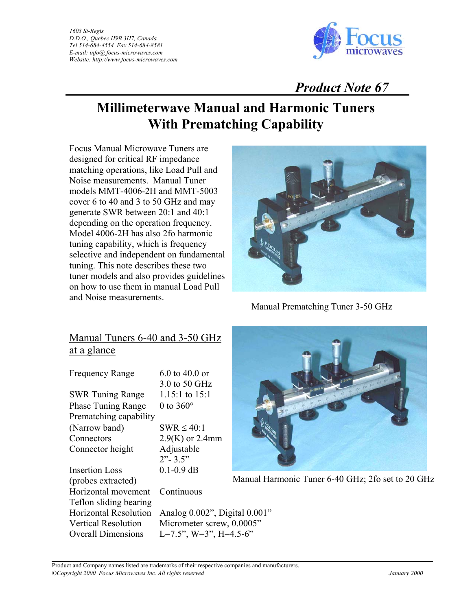*1603 St-Regis D.D.O., Quebec H9B 3H7, Canada Tel 514-684-4554 Fax 514-684-8581 E-mail: info@ focus-microwaves.com Website: http://www.focus-microwaves.com*



## *Product Note 67*

# **Millimeterwave Manual and Harmonic Tuners With Prematching Capability**

Focus Manual Microwave Tuners are designed for critical RF impedance matching operations, like Load Pull and Noise measurements. Manual Tuner models MMT-4006-2H and MMT-5003 cover 6 to 40 and 3 to 50 GHz and may generate SWR between 20:1 and 40:1 depending on the operation frequency. Model 4006-2H has also 2fo harmonic tuning capability, which is frequency selective and independent on fundamental tuning. This note describes these two tuner models and also provides guidelines on how to use them in manual Load Pull and Noise measurements.



Manual Prematching Tuner 3-50 GHz

## Manual Tuners 6-40 and 3-50 GHz at a glance

| <b>Frequency Range</b>       | $6.0$ to $40.0$ or |
|------------------------------|--------------------|
|                              | 3.0 to 50 GHz      |
| <b>SWR Tuning Range</b>      | $1.15:1$ to $15:1$ |
| <b>Phase Tuning Range</b>    | 0 to $360^\circ$   |
| Prematching capability       |                    |
| (Narrow band)                | $SWR \leq 40:1$    |
| Connectors                   | $2.9(K)$ or 2.4mm  |
| Connector height             | Adjustable         |
|                              | $2" - 3.5"$        |
| <b>Insertion Loss</b>        | $0.1 - 0.9$ dB     |
| (probes extracted)           |                    |
| Horizontal movement          | Continuous         |
| Teflon sliding bearing       |                    |
| <b>Horizontal Resolution</b> | Analog 0.002", L   |
| <b>Vertical Resolution</b>   | Micrometer screy   |
| <b>Overall Dimensions</b>    | $L=7.5$ ", W=3", H |



Manual Harmonic Tuner 6-40 GHz; 2fo set to 20 GHz

 $002$ ", Digital  $0.001$ "  $er$  screw,  $0.0005"$  $=3$ ", H=4.5-6"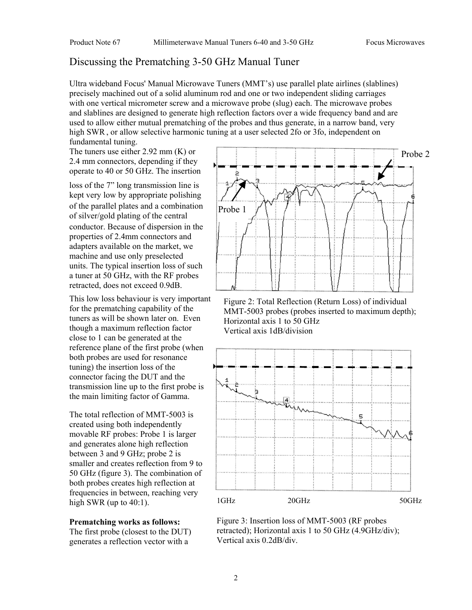#### Discussing the Prematching 3-50 GHz Manual Tuner

Ultra wideband Focus' Manual Microwave Tuners (MMT's) use parallel plate airlines (slablines) precisely machined out of a solid aluminum rod and one or two independent sliding carriages with one vertical micrometer screw and a microwave probe (slug) each. The microwave probes and slablines are designed to generate high reflection factors over a wide frequency band and are used to allow either mutual prematching of the probes and thus generate, in a narrow band, very high SWR, or allow selective harmonic tuning at a user selected 2fo or 3fo, independent on fundamental tuning.

The tuners use either 2.92 mm (K) or 2.4 mm connectors, depending if they operate to 40 or 50 GHz. The insertion

loss of the 7" long transmission line is kept very low by appropriate polishing of the parallel plates and a combination of silver/gold plating of the central conductor. Because of dispersion in the properties of 2.4mm connectors and adapters available on the market, we machine and use only preselected units. The typical insertion loss of such a tuner at 50 GHz, with the RF probes retracted, does not exceed 0.9dB.

This low loss behaviour is very important for the prematching capability of the tuners as will be shown later on. Even though a maximum reflection factor close to 1 can be generated at the reference plane of the first probe (when both probes are used for resonance tuning) the insertion loss of the connector facing the DUT and the transmission line up to the first probe is the main limiting factor of Gamma.

The total reflection of MMT-5003 is created using both independently movable RF probes: Probe 1 is larger and generates alone high reflection between 3 and 9 GHz; probe 2 is smaller and creates reflection from 9 to 50 GHz (figure 3). The combination of both probes creates high reflection at frequencies in between, reaching very high SWR (up to  $40:1$ ).

#### **Prematching works as follows:**

The first probe (closest to the DUT) generates a reflection vector with a



Figure 2: Total Reflection (Return Loss) of individual MMT-5003 probes (probes inserted to maximum depth); Horizontal axis 1 to 50 GHz Vertical axis 1dB/division



Figure 3: Insertion loss of MMT-5003 (RF probes retracted); Horizontal axis 1 to 50 GHz (4.9GHz/div); Vertical axis 0.2dB/div.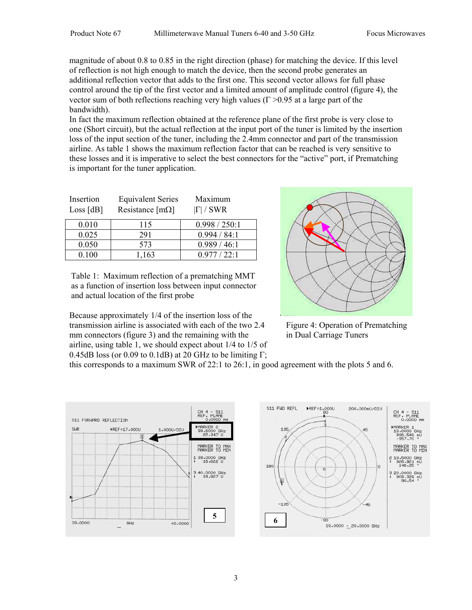magnitude of about 0.8 to 0.85 in the right direction (phase) for matching the device. If this level of reflection is not high enough to match the device, then the second probe generates an additional reflection vector that adds to the first one. This second vector allows for full phase control around the tip of the first vector and a limited amount of amplitude control (figure 4), the vector sum of both reflections reaching very high values ( $\Gamma > 0.95$  at a large part of the bandwidth).

In fact the maximum reflection obtained at the reference plane of the first probe is very close to one (Short circuit), but the actual reflection at the input port of the tuner is limited by the insertion loss of the input section of the tuner, including the 2.4mm connector and part of the transmission airline. As table 1 shows the maximum reflection factor that can be reached is very sensitive to these losses and it is imperative to select the best connectors for the "active" port, if Prematching is important for the tuner application.

| Insertion<br>Loss [dB] | <b>Equivalent Series</b><br>Resistance [m $\Omega$ ] | Maximum<br>$ \Gamma $ / SWR |
|------------------------|------------------------------------------------------|-----------------------------|
| 0.010                  | 115                                                  | 0.998 / 250:1               |
| 0.025                  | 291                                                  | 0.994 / 84:1                |
| 0.050                  | 573                                                  | 0.989 / 46:1                |
| 0.100                  | 1,163                                                | 0.977 / 22:1                |

Table 1: Maximum reflection of a prematching MMT as a function of insertion loss between input connector and actual location of the first probe

Because approximately 1/4 of the insertion loss of the transmission airline is associated with each of the two 2.4 mm connectors (figure 3) and the remaining with the airline, using table 1, we should expect about 1/4 to 1/5 of 0.45dB loss (or 0.09 to 0.1dB) at 20 GHz to be limiting  $\Gamma$ ;



Figure 4: Operation of Prematching in Dual Carriage Tuners

this corresponds to a maximum SWR of 22:1 to 26:1, in good agreement with the plots 5 and 6.



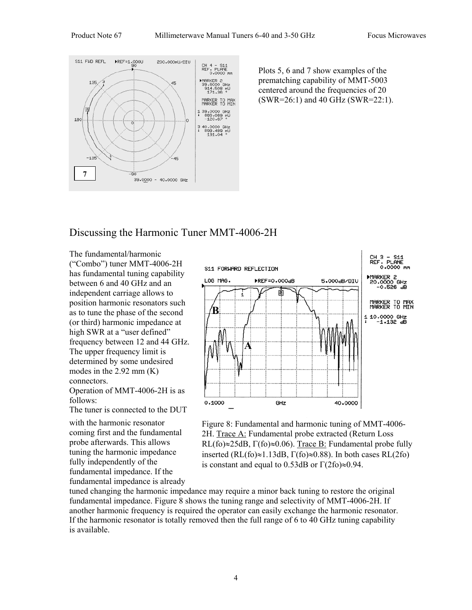

Plots 5, 6 and 7 show examples of the prematching capability of MMT-5003 centered around the frequencies of 20 (SWR=26:1) and 40 GHz (SWR=22:1).

### Discussing the Harmonic Tuner MMT-4006-2H

The fundamental/harmonic ("Combo") tuner MMT-4006-2H has fundamental tuning capability between 6 and 40 GHz and an independent carriage allows to position harmonic resonators such as to tune the phase of the second (or third) harmonic impedance at high SWR at a "user defined" frequency between 12 and 44 GHz. The upper frequency limit is determined by some undesired modes in the  $2.92$  mm  $(K)$ connectors.

Operation of MMT-4006-2H is as follows:

The tuner is connected to the DUT

with the harmonic resonator coming first and the fundamental probe afterwards. This allows tuning the harmonic impedance fully independently of the fundamental impedance. If the fundamental impedance is already





tuned changing the harmonic impedance may require a minor back tuning to restore the original fundamental impedance. Figure 8 shows the tuning range and selectivity of MMT-4006-2H. If another harmonic frequency is required the operator can easily exchange the harmonic resonator. If the harmonic resonator is totally removed then the full range of 6 to 40 GHz tuning capability is available.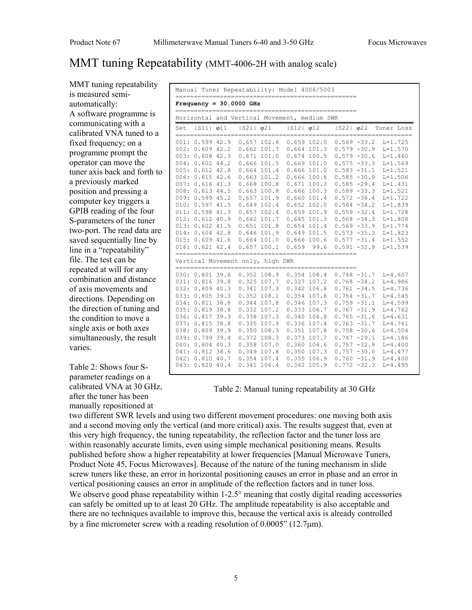### MMT tuning Repeatability (MMT-4006-2H with analog scale)

MMT tuning repeatability is measured semiautomatically: A software programme is communicating with a calibrated VNA tuned to a fixed frequency; on a programme prompt the operator can move the tuner axis back and forth to a previously marked position and pressing a computer key triggers a GPIB reading of the four S-parameters of the tuner two-port. The read data are saved sequentially line by line in a "repeatability" file. The test can be repeated at will for any combination and distance of axis movements and directions. Depending on the direction of tuning and the condition to move a single axis or both axes simultaneously, the result varies.

Table 2: Shows four Sparameter readings on a calibrated VNA at 30 GHz, after the tuner has been manually repositioned at

| Manual Tuner Repeatability: Model 4006/5003  |                                                                                                                                                                                                                                                                                      |  |                           |                                                                                                                                                                                                                             |                                                                                                                         |                                                                                                                                                                      |                 |                                                                                                                                                                                                                                                                                              |                                                                                                                                                                                                                                              |
|----------------------------------------------|--------------------------------------------------------------------------------------------------------------------------------------------------------------------------------------------------------------------------------------------------------------------------------------|--|---------------------------|-----------------------------------------------------------------------------------------------------------------------------------------------------------------------------------------------------------------------------|-------------------------------------------------------------------------------------------------------------------------|----------------------------------------------------------------------------------------------------------------------------------------------------------------------|-----------------|----------------------------------------------------------------------------------------------------------------------------------------------------------------------------------------------------------------------------------------------------------------------------------------------|----------------------------------------------------------------------------------------------------------------------------------------------------------------------------------------------------------------------------------------------|
|                                              |                                                                                                                                                                                                                                                                                      |  | $Frequency = 30.0000 GHz$ |                                                                                                                                                                                                                             |                                                                                                                         |                                                                                                                                                                      |                 |                                                                                                                                                                                                                                                                                              |                                                                                                                                                                                                                                              |
| Horizontal and Vertical Movement, medium SWR |                                                                                                                                                                                                                                                                                      |  |                           |                                                                                                                                                                                                                             |                                                                                                                         |                                                                                                                                                                      |                 |                                                                                                                                                                                                                                                                                              |                                                                                                                                                                                                                                              |
| Set                                          | $ S11 $ $\varphi$ 11                                                                                                                                                                                                                                                                 |  | $ S21 $ $\phi$ 21         |                                                                                                                                                                                                                             | $ S12 $ $\varphi$ 12                                                                                                    |                                                                                                                                                                      | $ S22 $ $ 022 $ |                                                                                                                                                                                                                                                                                              | Tuner Loss                                                                                                                                                                                                                                   |
| 003:<br>004:<br>008:<br>009:                 | 001: 0.599 42.9<br>002: 0.609 42.2<br>0.60842.3<br>0.60244.2<br>005: 0.612 42.8<br>006: 0.615 42.6<br>007: 0.616 41.3<br>0.61344.5<br>0.59945.2<br>010: 0.597 41.5<br>011: 0.598 41.3<br>012: 0.612 40.9<br>013: 0.602 41.5<br>014: 0.604 42.8<br>015: 0.609 41.6<br>016: 0.621 42.4 |  |                           | 0.657102.6<br>$0.671$ 101.0<br>$0.666$ 101.5<br>$0.664$ 101.4<br>$0.663$ 101.2<br>0.668100.8<br>0.663100.8<br>0.657101.9<br>0.649102.4<br>0.657102.4<br>0.642 101.7<br>0.651101.8<br>0.646101.9<br>0.664101.0<br>0.657100.1 | $0.662$ 101.7 0.664 101.3<br>$0.674$ 100.5<br>$0.669$ 101.0<br>$0.666$ 101.0<br>$0.649$ 101.5<br>$0.666$ 100.6<br>0.659 | $0.659$ $102.0$<br>$0.666$ 100.8<br>$0.671$ 100.3<br>$0.666$ 100.3<br>0.660101.4<br>$0.652$ 102.0<br>0.659101.9<br>$0.645$ 101.3<br>$0.654$ 101.4<br>99.6            |                 | $0.569 - 33.2$<br>$0.579 - 30.9$<br>$0.579 - 30.6$<br>$0.575 - 33.3$<br>$0.583 - 31.1$<br>$0.585 - 30.9$<br>$0.585 - 29.4$<br>$0.589 - 33.3$<br>$0.572 - 36.4$<br>$0.564 - 34.2$<br>$0.559 - 32.4$<br>$0.568 - 34.3$<br>$0.569 - 33.9$<br>$0.573 - 35.3$<br>$0.577 - 31.4$<br>$0.591 - 32.9$ | $L = 1.725$<br>$L = 1.570$<br>$L = 1.460$<br>$L = 1.569$<br>$L = 1.521$<br>$L = 1.506$<br>$L = 1.431$<br>$L = 1.521$<br>$L = 1.722$<br>$L = 1.839$<br>$L = 1.728$<br>$L = 1.808$<br>$L = 1.774$<br>$L = 1.823$<br>$L = 1.552$<br>$L = 1.539$ |
| Vertical Movement only, high SWR             |                                                                                                                                                                                                                                                                                      |  |                           |                                                                                                                                                                                                                             |                                                                                                                         |                                                                                                                                                                      |                 |                                                                                                                                                                                                                                                                                              |                                                                                                                                                                                                                                              |
| 034:<br>036:<br>039:<br>040:                 | 030: 0.801 39.6<br>031: 0.816 39.8<br>032: 0.809 40.3<br>033: 0.805 39.3<br>$0.811$ 38.8<br>035: 0.819 38.8<br>0.817 39.3<br>037: 0.815 38.8<br>038: 0.809 39.9<br>0.799 39.4<br>$0.804$ 40.3<br>041: 0.812 38.6<br>042: 0.810 40.7<br>043: 0.820 40.4                               |  | 0.350108.3<br>0.341 106.4 | $0.352$ $108.9$<br>$0.341$ 107.3<br>$0.352$ 108.1<br>$0.344$ 107.8<br>0.332 107.2<br>0.338 107.3<br>0.335 107.9<br>$0.372$ 108.3<br>0.358 107.0<br>0.349 107.8<br>0.354 107.4                                               | $0.325$ 107.7 0.327 107.2<br>$0.354$ 107.6<br>0.340 106.8<br>0.373                                                      | $0.354$ 108.4<br>$0.342$ 106.8<br>$0.346$ 107.3<br>0.333 106.7<br>0.336 107.4<br>$0.351$ 107.8<br>107.7<br>0.360 106.6<br>0.350107.3<br>$0.355$ 106.9<br>0.342 105.9 |                 | $0.748 - 31.7$<br>$0.768 - 34.2$<br>$0.761 - 34.5$<br>$0.754 - 31.7$<br>$0.759 - 31.1$<br>$0.767 - 31.9$<br>$0.765 - 31.6$<br>$0.763 - 31.7$<br>$0.758 - 30.6$<br>$0.747 - 29.1$<br>$0.757 - 32.9$<br>$0.757 - 30.0$<br>$0.760 - 31.9$<br>$0.772 - 32.3$                                     | $L = 4.607$<br>$L = 4.986$<br>$L = 4.736$<br>$L = 4.545$<br>$L = 4.599$<br>$L = 4.762$<br>$L = 4.631$<br>$L = 4.761$<br>$L = 4.504$<br>$L = 4.186$<br>$L = 4.400$<br>$L = 4.477$<br>$L = 4.400$<br>$L = 4.495$                               |

Table 2: Manual tuning repeatability at 30 GHz

two different SWR levels and using two different movement procedures: one moving both axis and a second moving only the vertical (and more critical) axis. The results suggest that, even at this very high frequency, the tuning repeatability, the reflection factor and the tuner loss are within reasonably accurate limits, even using simple mechanical positioning means. Results published before show a higher repeatability at lower frequencies [Manual Microwave Tuners, Product Note 45, Focus Microwaves]. Because of the nature of the tuning mechanism in slide screw tuners like these, an error in horizontal positioning causes an error in phase and an error in vertical positioning causes an error in amplitude of the reflection factors and in tuner loss. We observe good phase repeatability within  $1-2.5^\circ$  meaning that costly digital reading accessories can safely be omitted up to at least 20 GHz. The amplitude repeatability is also acceptable and there are no techniques available to improve this, because the vertical axis is already controlled by a fine micrometer screw with a reading resolution of 0.0005" (12.7µm).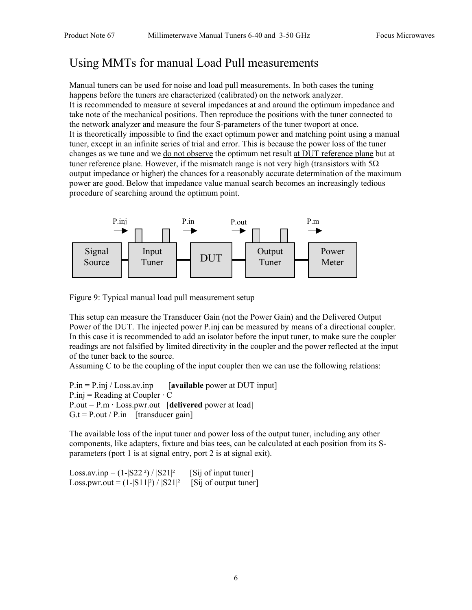## Using MMTs for manual Load Pull measurements

Manual tuners can be used for noise and load pull measurements. In both cases the tuning happens before the tuners are characterized (calibrated) on the network analyzer. It is recommended to measure at several impedances at and around the optimum impedance and take note of the mechanical positions. Then reproduce the positions with the tuner connected to the network analyzer and measure the four S-parameters of the tuner twoport at once. It is theoretically impossible to find the exact optimum power and matching point using a manual tuner, except in an infinite series of trial and error. This is because the power loss of the tuner changes as we tune and we do not observe the optimum net result at DUT reference plane but at tuner reference plane. However, if the mismatch range is not very high (transistors with  $5\Omega$ ) output impedance or higher) the chances for a reasonably accurate determination of the maximum power are good. Below that impedance value manual search becomes an increasingly tedious procedure of searching around the optimum point.



Figure 9: Typical manual load pull measurement setup

This setup can measure the Transducer Gain (not the Power Gain) and the Delivered Output Power of the DUT. The injected power P.inj can be measured by means of a directional coupler. In this case it is recommended to add an isolator before the input tuner, to make sure the coupler readings are not falsified by limited directivity in the coupler and the power reflected at the input of the tuner back to the source.

Assuming C to be the coupling of the input coupler then we can use the following relations:

P.in = P.inj / Loss.av.inp [**available** power at DUT input]  $P.inj = Reading$  at Coupler  $\cdot$  C  $P.out = P.m \cdot Loss.pwr.out$  [delivered power at load]  $G_t = P.out / P.in$  [transducer gain]

The available loss of the input tuner and power loss of the output tuner, including any other components, like adapters, fixture and bias tees, can be calculated at each position from its Sparameters (port 1 is at signal entry, port 2 is at signal exit).

Loss.av.inp =  $(1-|S22|^2)/|S21|^2$  [Sij of input tuner] Loss.pwr.out =  $(1-|S11|^2) / |S21|^2$  [Sij of output tuner]